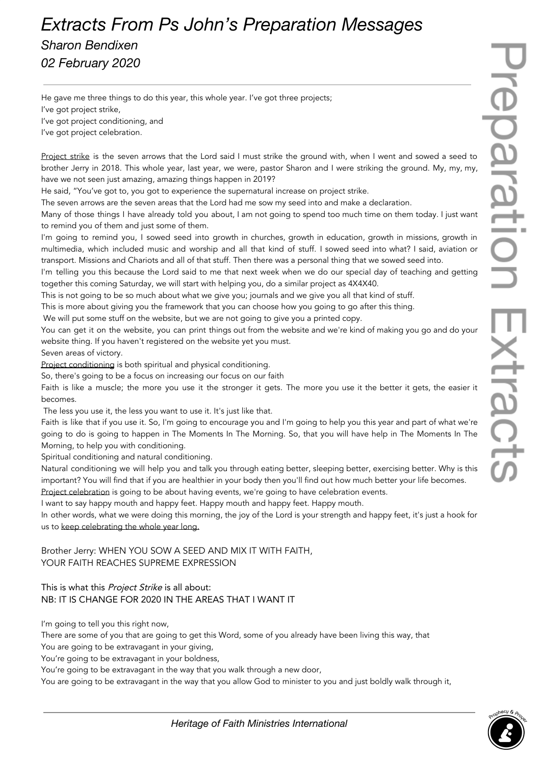## *Extracts From Ps John's Preparation Messages*

*Sharon Bendixen 02 February 2020*

He gave me three things to do this year, this whole year. I've got three projects; I've got project strike, I've got project conditioning, and I've got project celebration.

Project strike is the seven arrows that the Lord said I must strike the ground with, when I went and sowed a seed to brother Jerry in 2018. This whole year, last year, we were, pastor Sharon and I were striking the ground. My, my, my, have we not seen just amazing, amazing things happen in 2019?

He said, "You've got to, you got to experience the supernatural increase on project strike.

The seven arrows are the seven areas that the Lord had me sow my seed into and make a declaration.

Many of those things I have already told you about, I am not going to spend too much time on them today. I just want to remind you of them and just some of them.

I'm going to remind you, I sowed seed into growth in churches, growth in education, growth in missions, growth in multimedia, which included music and worship and all that kind of stuff. I sowed seed into what? I said, aviation or transport. Missions and Chariots and all of that stuff. Then there was a personal thing that we sowed seed into.

I'm telling you this because the Lord said to me that next week when we do our special day of teaching and getting together this coming Saturday, we will start with helping you, do a similar project as 4X4X40.

This is not going to be so much about what we give you; journals and we give you all that kind of stuff.

This is more about giving you the framework that you can choose how you going to go after this thing.

We will put some stuff on the website, but we are not going to give you a printed copy.

You can get it on the website, you can print things out from the website and we're kind of making you go and do your website thing. If you haven't registered on the website yet you must.

Seven areas of victory.

Project conditioning is both spiritual and physical conditioning.

So, there's going to be a focus on increasing our focus on our faith

Faith is like a muscle; the more you use it the stronger it gets. The more you use it the better it gets, the easier it becomes.

The less you use it, the less you want to use it. It's just like that.

Faith is like that if you use it. So, I'm going to encourage you and I'm going to help you this year and part of what we're going to do is going to happen in The Moments In The Morning. So, that you will have help in The Moments In The Morning, to help you with conditioning.

Spiritual conditioning and natural conditioning.

Natural conditioning we will help you and talk you through eating better, sleeping better, exercising better. Why is this important? You will find that if you are healthier in your body then you'll find out how much better your life becomes.

Project celebration is going to be about having events, we're going to have celebration events.

I want to say happy mouth and happy feet. Happy mouth and happy feet. Happy mouth.

In other words, what we were doing this morning, the joy of the Lord is your strength and happy feet, it's just a hook for us to keep celebrating the whole year long.

## Brother Jerry: WHEN YOU SOW A SEED AND MIX IT WITH FAITH, YOUR FAITH REACHES SUPREME EXPRESSION

## This is what this *Project Strike* is all about: NB: IT IS CHANGE FOR 2020 IN THE AREAS THAT I WANT IT

I'm going to tell you this right now,

There are some of you that are going to get this Word, some of you already have been living this way, that You are going to be extravagant in your giving,

You're going to be extravagant in your boldness,

You're going to be extravagant in the way that you walk through a new door,

You are going to be extravagant in the way that you allow God to minister to you and just boldly walk through it,

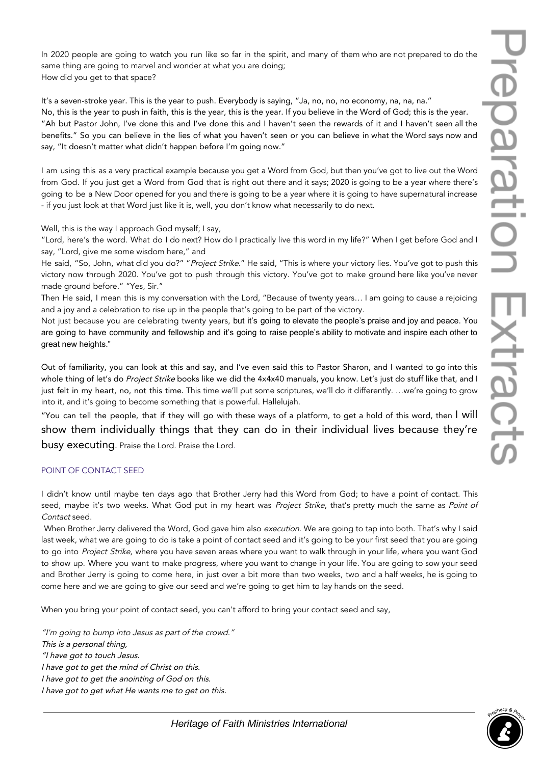In 2020 people are going to watch you run like so far in the spirit, and many of them who are not prepared to do the same thing are going to marvel and wonder at what you are doing; How did you get to that space?

It's a seven-stroke year. This is the year to push. Everybody is saying, "Ja, no, no, no economy, na, na, na." No, this is the year to push in faith, this is the year, this is the year. If you believe in the Word of God; this is the year. "Ah but Pastor John, I've done this and I've done this and I haven't seen the rewards of it and I haven't seen all the benefits." So you can believe in the lies of what you haven't seen or you can believe in what the Word says now and say, "It doesn't matter what didn't happen before I'm going now."

I am using this as a very practical example because you get a Word from God, but then you've got to live out the Word from God. If you just get a Word from God that is right out there and it says; 2020 is going to be a year where there's going to be a New Door opened for you and there is going to be a year where it is going to have supernatural increase - if you just look at that Word just like it is, well, you don't know what necessarily to do next.

Well, this is the way I approach God myself; I say,

"Lord, here's the word. What do I do next? How do I practically live this word in my life?" When I get before God and I say, "Lord, give me some wisdom here," and

He said, "So, John, what did you do?" "Project Strike." He said, "This is where your victory lies. You've got to push this victory now through 2020. You've got to push through this victory. You've got to make ground here like you've never made ground before." "Yes, Sir."

Then He said, I mean this is my conversation with the Lord, "Because of twenty years… I am going to cause a rejoicing and a joy and a celebration to rise up in the people that's going to be part of the victory.

Not just because you are celebrating twenty years, but it's going to elevate the people's praise and joy and peace. You are going to have community and fellowship and it's going to raise people's ability to motivate and inspire each other to great new heights."

Out of familiarity, you can look at this and say, and I've even said this to Pastor Sharon, and I wanted to go into this whole thing of let's do Project Strike books like we did the 4x4x40 manuals, you know. Let's just do stuff like that, and I just felt in my heart, no, not this time. This time we'll put some scriptures, we'll do it differently. …we're going to grow into it, and it's going to become something that is powerful. Hallelujah.

"You can tell the people, that if they will go with these ways of a platform, to get a hold of this word, then I will show them individually things that they can do in their individual lives because they're busy executing. Praise the Lord. Praise the Lord.

## POINT OF CONTACT SEED

I didn't know until maybe ten days ago that Brother Jerry had this Word from God; to have a point of contact. This seed, maybe it's two weeks. What God put in my heart was Project Strike, that's pretty much the same as Point of Contact seed.

When Brother Jerry delivered the Word, God gave him also execution. We are going to tap into both. That's why I said last week, what we are going to do is take a point of contact seed and it's going to be your first seed that you are going to go into Project Strike, where you have seven areas where you want to walk through in your life, where you want God to show up. Where you want to make progress, where you want to change in your life. You are going to sow your seed and Brother Jerry is going to come here, in just over a bit more than two weeks, two and a half weeks, he is going to come here and we are going to give our seed and we're going to get him to lay hands on the seed.

When you bring your point of contact seed, you can't afford to bring your contact seed and say,

"I'm going to bump into Jesus as part of the crowd." This is <sup>a</sup> personal thing, "I have got to touch Jesus. I have got to get the mind of Christ on this. I have got to get the anointing of God on this. I have got to get what He wants me to get on this.

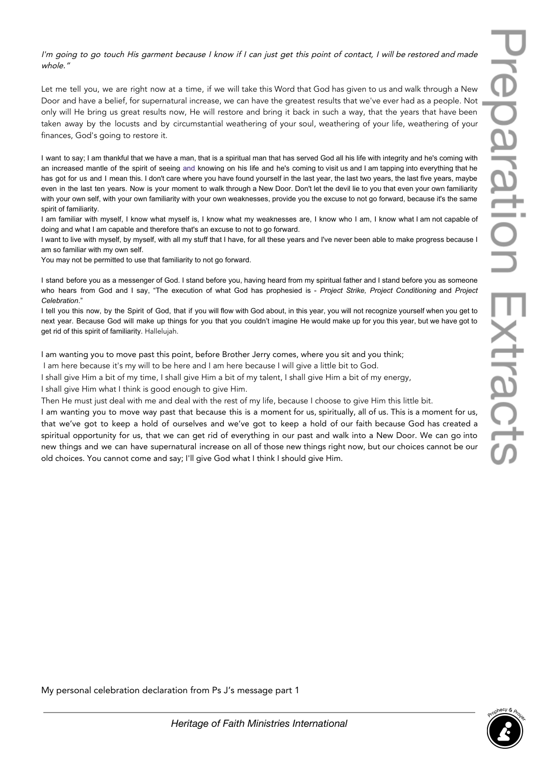I'm going to go touch His garment because I know if I can just get this point of contact, I will be restored and made whole."

Let me tell you, we are right now at a time, if we will take this Word that God has given to us and walk through a New Door and have a belief, for supernatural increase, we can have the greatest results that we've ever had as a people. Not only will He bring us great results now, He will restore and bring it back in such a way, that the years that have been taken away by the locusts and by circumstantial weathering of your soul, weathering of your life, weathering of your finances, God's going to restore it.

I want to say; I am thankful that we have a man, that is a spiritual man that has served God all his life with integrity and he's coming with an increased mantle of the spirit of seeing and knowing on his life and he's coming to visit us and I am tapping into everything that he has got for us and I mean this. I don't care where you have found yourself in the last year, the last two years, the last five years, maybe even in the last ten years. Now is your moment to walk through a New Door. Don't let the devil lie to you that even your own familiarity with your own self, with your own familiarity with your own weaknesses, provide you the excuse to not go forward, because it's the same spirit of familiarity.

I am familiar with myself, I know what myself is, I know what my weaknesses are, I know who I am, I know what I am not capable of doing and what I am capable and therefore that's an excuse to not to go forward.

I want to live with myself, by myself, with all my stuff that I have, for all these years and I've never been able to make progress because I am so familiar with my own self.

You may not be permitted to use that familiarity to not go forward.

I stand before you as a messenger of God. I stand before you, having heard from my spiritual father and I stand before you as someone who hears from God and I say, "The execution of what God has prophesied is - *Project Strike, Project Conditioning* and *Project Celebration*."

I tell you this now, by the Spirit of God, that if you will flow with God about, in this year, you will not recognize yourself when you get to next year. Because God will make up things for you that you couldn't imagine He would make up for you this year, but we have got to get rid of this spirit of familiarity. Hallelujah.

I am wanting you to move past this point, before Brother Jerry comes, where you sit and you think;

I am here because it's my will to be here and I am here because I will give a little bit to God.

I shall give Him a bit of my time, I shall give Him a bit of my talent, I shall give Him a bit of my energy,

I shall give Him what I think is good enough to give Him.

Then He must just deal with me and deal with the rest of my life, because I choose to give Him this little bit.

I am wanting you to move way past that because this is a moment for us, spiritually, all of us. This is a moment for us, that we've got to keep a hold of ourselves and we've got to keep a hold of our faith because God has created a spiritual opportunity for us, that we can get rid of everything in our past and walk into a New Door. We can go into new things and we can have supernatural increase on all of those new things right now, but our choices cannot be our old choices. You cannot come and say; I'll give God what I think I should give Him.

My personal celebration declaration from Ps J's message part 1